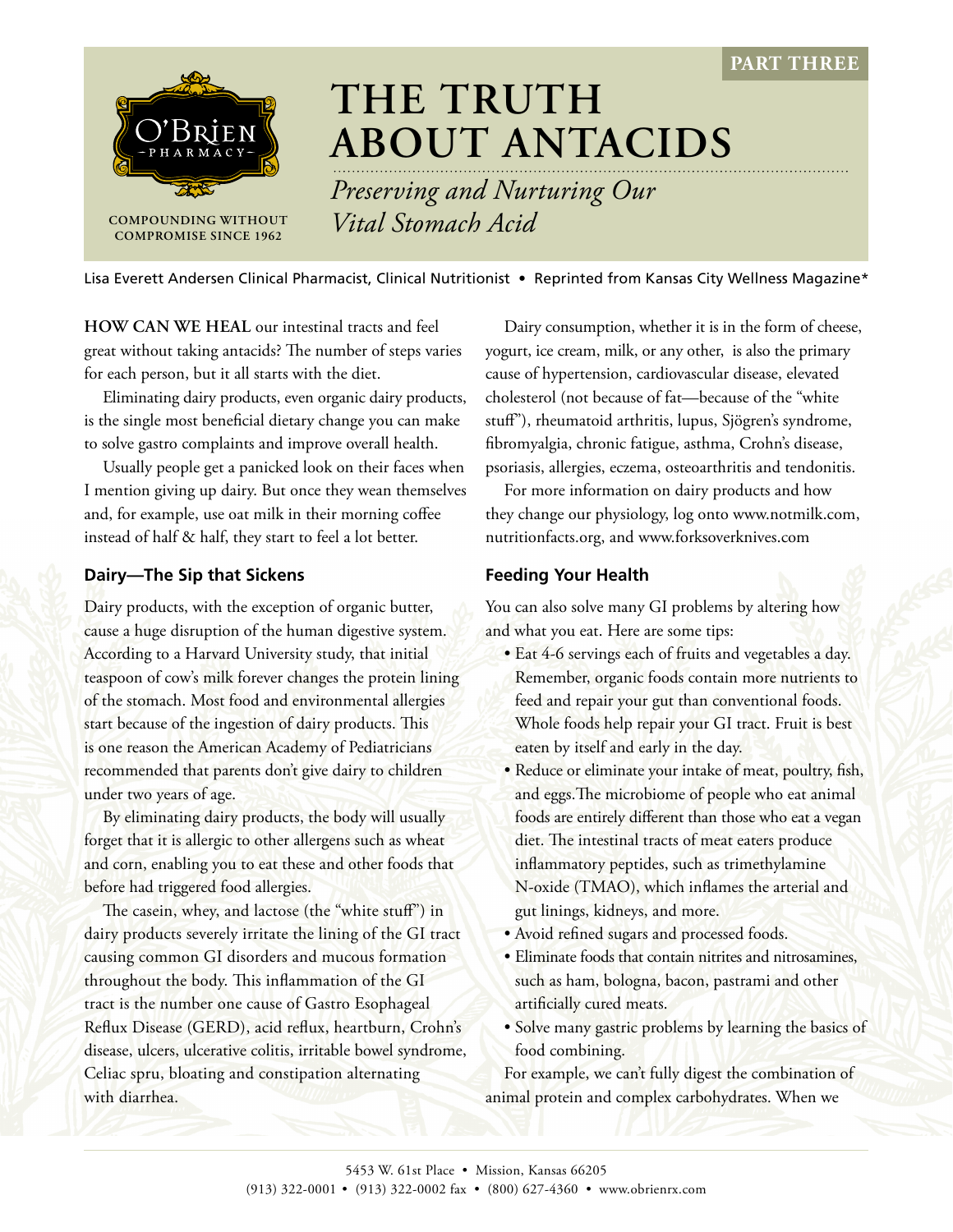**PART THREE**



# **THE TRUTH ABOUT ANTACIDS**

*Preserving and Nurturing Our*  **COMPOUNDING WITHOUT** *Vital Stomach Acid* 

Lisa Everett Andersen Clinical Pharmacist, Clinical Nutritionist • Reprinted from Kansas City Wellness Magazine\*

**HOW CAN WE HEAL** our intestinal tracts and feel great without taking antacids? The number of steps varies for each person, but it all starts with the diet.

Eliminating dairy products, even organic dairy products, is the single most beneficial dietary change you can make to solve gastro complaints and improve overall health.

Usually people get a panicked look on their faces when I mention giving up dairy. But once they wean themselves and, for example, use oat milk in their morning coffee instead of half & half, they start to feel a lot better.

### **Dairy—The Sip that Sickens**

Dairy products, with the exception of organic butter, cause a huge disruption of the human digestive system. According to a Harvard University study, that initial teaspoon of cow's milk forever changes the protein lining of the stomach. Most food and environmental allergies start because of the ingestion of dairy products. This is one reason the American Academy of Pediatricians recommended that parents don't give dairy to children under two years of age.

By eliminating dairy products, the body will usually forget that it is allergic to other allergens such as wheat and corn, enabling you to eat these and other foods that before had triggered food allergies.

The casein, whey, and lactose (the "white stuff") in dairy products severely irritate the lining of the GI tract causing common GI disorders and mucous formation throughout the body. This inflammation of the GI tract is the number one cause of Gastro Esophageal Reflux Disease (GERD), acid reflux, heartburn, Crohn's disease, ulcers, ulcerative colitis, irritable bowel syndrome, Celiac spru, bloating and constipation alternating with diarrhea.

Dairy consumption, whether it is in the form of cheese, yogurt, ice cream, milk, or any other, is also the primary cause of hypertension, cardiovascular disease, elevated cholesterol (not because of fat—because of the "white stuff"), rheumatoid arthritis, lupus, Sjögren's syndrome, fibromyalgia, chronic fatigue, asthma, Crohn's disease, psoriasis, allergies, eczema, osteoarthritis and tendonitis.

For more information on dairy products and how they change our physiology, log onto www.notmilk.com, nutritionfacts.org, and www.forksoverknives.com

## **Feeding Your Health**

You can also solve many GI problems by altering how and what you eat. Here are some tips:

- Eat 4-6 servings each of fruits and vegetables a day. Remember, organic foods contain more nutrients to feed and repair your gut than conventional foods. Whole foods help repair your GI tract. Fruit is best eaten by itself and early in the day.
- Reduce or eliminate your intake of meat, poultry, fish, and eggs.The microbiome of people who eat animal foods are entirely different than those who eat a vegan diet. The intestinal tracts of meat eaters produce inflammatory peptides, such as trimethylamine N-oxide (TMAO), which inflames the arterial and gut linings, kidneys, and more.
- Avoid refined sugars and processed foods.
- Eliminate foods that contain nitrites and nitrosamines, such as ham, bologna, bacon, pastrami and other artificially cured meats.
- Solve many gastric problems by learning the basics of food combining.

For example, we can't fully digest the combination of animal protein and complex carbohydrates. When we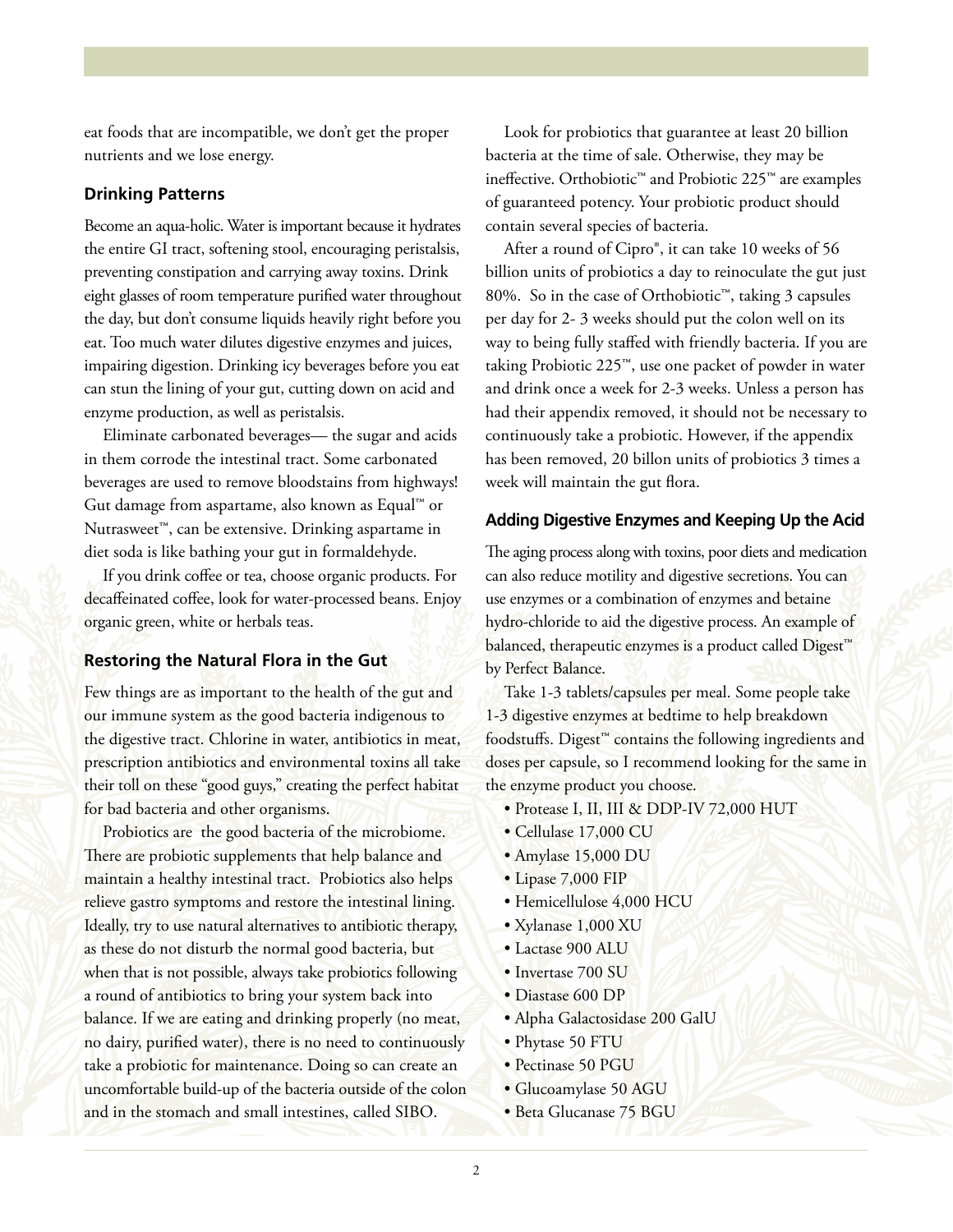eat foods that are incompatible, we don't get the proper nutrients and we lose energy.

#### **Drinking Patterns**

Become an aqua-holic. Water is important because it hydrates the entire GI tract, softening stool, encouraging peristalsis, preventing constipation and carrying away toxins. Drink eight glasses of room temperature purified water throughout the day, but don't consume liquids heavily right before you eat. Too much water dilutes digestive enzymes and juices, impairing digestion. Drinking icy beverages before you eat can stun the lining of your gut, cutting down on acid and enzyme production, as well as peristalsis.

Eliminate carbonated beverages— the sugar and acids in them corrode the intestinal tract. Some carbonated beverages are used to remove bloodstains from highways! Gut damage from aspartame, also known as Equal™ or Nutrasweet™, can be extensive. Drinking aspartame in diet soda is like bathing your gut in formaldehyde.

If you drink coffee or tea, choose organic products. For decaffeinated coffee, look for water-processed beans. Enjoy organic green, white or herbals teas.

#### **Restoring the Natural Flora in the Gut**

Few things are as important to the health of the gut and our immune system as the good bacteria indigenous to the digestive tract. Chlorine in water, antibiotics in meat, prescription antibiotics and environmental toxins all take their toll on these "good guys," creating the perfect habitat for bad bacteria and other organisms.

Probiotics are the good bacteria of the microbiome. There are probiotic supplements that help balance and maintain a healthy intestinal tract. Probiotics also helps relieve gastro symptoms and restore the intestinal lining. Ideally, try to use natural alternatives to antibiotic therapy, as these do not disturb the normal good bacteria, but when that is not possible, always take probiotics following a round of antibiotics to bring your system back into balance. If we are eating and drinking properly (no meat, no dairy, purified water), there is no need to continuously take a probiotic for maintenance. Doing so can create an uncomfortable build-up of the bacteria outside of the colon and in the stomach and small intestines, called SIBO.

Look for probiotics that guarantee at least 20 billion bacteria at the time of sale. Otherwise, they may be ineffective. Orthobiotic™ and Probiotic 225™ are examples of guaranteed potency. Your probiotic product should contain several species of bacteria.

After a round of Cipro®, it can take 10 weeks of 56 billion units of probiotics a day to reinoculate the gut just 80%. So in the case of Orthobiotic™, taking 3 capsules per day for 2- 3 weeks should put the colon well on its way to being fully staffed with friendly bacteria. If you are taking Probiotic 225™, use one packet of powder in water and drink once a week for 2-3 weeks. Unless a person has had their appendix removed, it should not be necessary to continuously take a probiotic. However, if the appendix has been removed, 20 billon units of probiotics 3 times a week will maintain the gut flora.

#### **Adding Digestive Enzymes and Keeping Up the Acid**

The aging process along with toxins, poor diets and medication can also reduce motility and digestive secretions. You can use enzymes or a combination of enzymes and betaine hydro-chloride to aid the digestive process. An example of balanced, therapeutic enzymes is a product called Digest<sup>™</sup> by Perfect Balance.

Take 1-3 tablets/capsules per meal. Some people take 1-3 digestive enzymes at bedtime to help breakdown foodstuffs. Digest™ contains the following ingredients and doses per capsule, so I recommend looking for the same in the enzyme product you choose.

- Protease I, II, III & DDP-IV 72,000 HUT
- Cellulase 17,000 CU
- Amylase 15,000 DU
- Lipase 7,000 FIP
- Hemicellulose 4,000 HCU
- Xylanase 1,000 XU
- Lactase 900 ALU
- Invertase 700 SU
- Diastase 600 DP
- Alpha Galactosidase 200 GalU
- Phytase 50 FTU
- Pectinase 50 PGU
- Glucoamylase 50 AGU
- Beta Glucanase 75 BGU